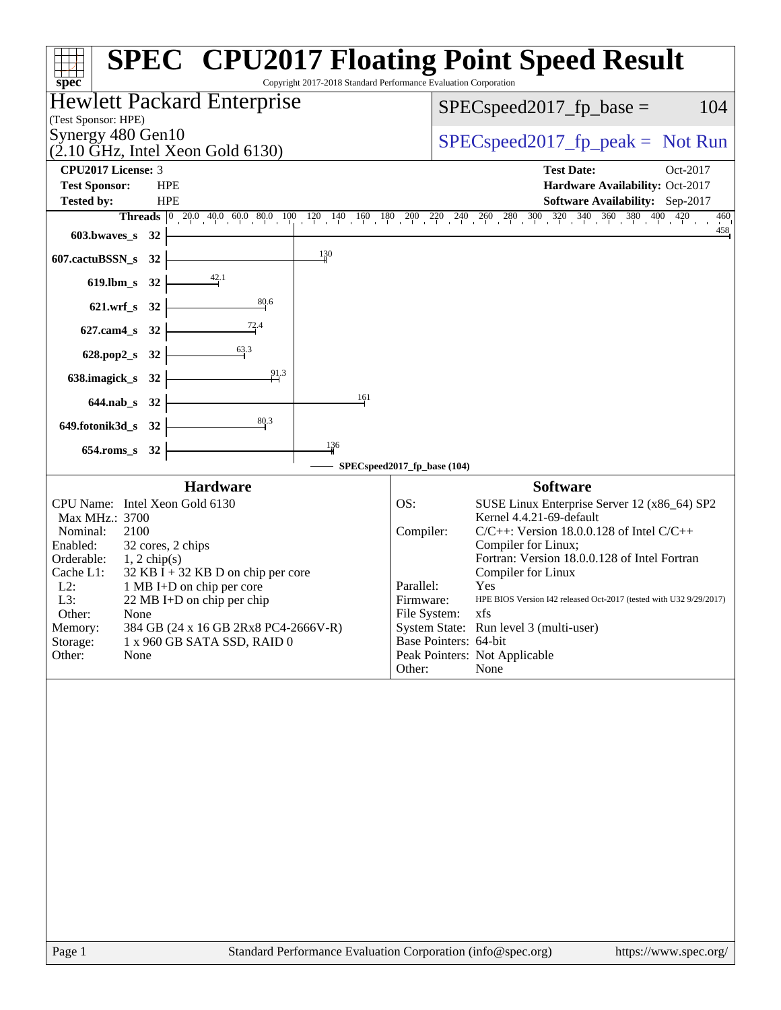|                                                                                                                                                                                                                                                                                                                                                                                                          | <b>SPEC<sup>®</sup> CPU2017 Floating Point Speed Result</b>                                                                                                                                                                                                                                                                                                                                                                                                                                    |
|----------------------------------------------------------------------------------------------------------------------------------------------------------------------------------------------------------------------------------------------------------------------------------------------------------------------------------------------------------------------------------------------------------|------------------------------------------------------------------------------------------------------------------------------------------------------------------------------------------------------------------------------------------------------------------------------------------------------------------------------------------------------------------------------------------------------------------------------------------------------------------------------------------------|
| Copyright 2017-2018 Standard Performance Evaluation Corporation<br>spec <sup>®</sup>                                                                                                                                                                                                                                                                                                                     |                                                                                                                                                                                                                                                                                                                                                                                                                                                                                                |
| Hewlett Packard Enterprise                                                                                                                                                                                                                                                                                                                                                                               | 104<br>$SPEC speed2017fp base =$                                                                                                                                                                                                                                                                                                                                                                                                                                                               |
| (Test Sponsor: HPE)<br>Synergy 480 Gen10                                                                                                                                                                                                                                                                                                                                                                 |                                                                                                                                                                                                                                                                                                                                                                                                                                                                                                |
| $(2.10 \text{ GHz}, \text{Intel Xeon Gold } 6130)$                                                                                                                                                                                                                                                                                                                                                       | $SPEC speed2017rfp peak = Not Run$                                                                                                                                                                                                                                                                                                                                                                                                                                                             |
| <b>CPU2017 License: 3</b>                                                                                                                                                                                                                                                                                                                                                                                | <b>Test Date:</b><br>Oct-2017                                                                                                                                                                                                                                                                                                                                                                                                                                                                  |
| <b>Test Sponsor:</b><br><b>HPE</b><br>Tested by:<br><b>HPE</b>                                                                                                                                                                                                                                                                                                                                           | Hardware Availability: Oct-2017<br>Software Availability: Sep-2017                                                                                                                                                                                                                                                                                                                                                                                                                             |
|                                                                                                                                                                                                                                                                                                                                                                                                          | <b>Threads</b> $\begin{bmatrix} 0 & 20 & 0 & 40 & 0 & 60 & 80 & 10 & 120 & 140 & 160 & 180 & 200 & 220 & 240 & 260 & 280 & 300 & 320 & 340 & 360 & 380 & 400 & 420 \end{bmatrix}$<br>460                                                                                                                                                                                                                                                                                                       |
| 603.bwaves_s<br>32                                                                                                                                                                                                                                                                                                                                                                                       | 458                                                                                                                                                                                                                                                                                                                                                                                                                                                                                            |
| 130<br>607.cactuBSSN_s<br>32                                                                                                                                                                                                                                                                                                                                                                             |                                                                                                                                                                                                                                                                                                                                                                                                                                                                                                |
| 42.1<br>$619.$ lbm_s<br>32                                                                                                                                                                                                                                                                                                                                                                               |                                                                                                                                                                                                                                                                                                                                                                                                                                                                                                |
| 80.6<br>$621.wrf$ <sub>S</sub><br>32                                                                                                                                                                                                                                                                                                                                                                     |                                                                                                                                                                                                                                                                                                                                                                                                                                                                                                |
| $\frac{72.4}{4}$<br>$627$ .cam $4$ <sub>_S</sub><br>32                                                                                                                                                                                                                                                                                                                                                   |                                                                                                                                                                                                                                                                                                                                                                                                                                                                                                |
| 63.3<br>628.pop2_s 32                                                                                                                                                                                                                                                                                                                                                                                    |                                                                                                                                                                                                                                                                                                                                                                                                                                                                                                |
| 91.3<br>638.imagick_s 32                                                                                                                                                                                                                                                                                                                                                                                 |                                                                                                                                                                                                                                                                                                                                                                                                                                                                                                |
| 161<br>644.nab_s 32                                                                                                                                                                                                                                                                                                                                                                                      |                                                                                                                                                                                                                                                                                                                                                                                                                                                                                                |
| 80.3<br>649.fotonik3d_s 32                                                                                                                                                                                                                                                                                                                                                                               |                                                                                                                                                                                                                                                                                                                                                                                                                                                                                                |
| 136<br>$654$ .roms_s<br>32                                                                                                                                                                                                                                                                                                                                                                               |                                                                                                                                                                                                                                                                                                                                                                                                                                                                                                |
|                                                                                                                                                                                                                                                                                                                                                                                                          | SPECspeed2017_fp_base (104)                                                                                                                                                                                                                                                                                                                                                                                                                                                                    |
| <b>Hardware</b>                                                                                                                                                                                                                                                                                                                                                                                          | <b>Software</b>                                                                                                                                                                                                                                                                                                                                                                                                                                                                                |
| CPU Name: Intel Xeon Gold 6130<br>Max MHz.: 3700<br>2100<br>Nominal:<br>32 cores, 2 chips<br>Enabled:<br>Orderable:<br>$1, 2$ chip(s)<br>Cache L1:<br>$32$ KB I + 32 KB D on chip per core<br>$L2$ :<br>1 MB I+D on chip per core<br>L3:<br>22 MB I+D on chip per chip<br>Other:<br>None<br>Memory:<br>384 GB (24 x 16 GB 2Rx8 PC4-2666V-R)<br>Storage:<br>1 x 960 GB SATA SSD, RAID 0<br>Other:<br>None | OS:<br>SUSE Linux Enterprise Server 12 (x86_64) SP2<br>Kernel 4.4.21-69-default<br>Compiler:<br>$C/C++$ : Version 18.0.0.128 of Intel $C/C++$<br>Compiler for Linux;<br>Fortran: Version 18.0.0.128 of Intel Fortran<br>Compiler for Linux<br>Parallel:<br>Yes<br>Firmware:<br>HPE BIOS Version I42 released Oct-2017 (tested with U32 9/29/2017)<br>File System:<br>xfs<br>System State: Run level 3 (multi-user)<br>Base Pointers: 64-bit<br>Peak Pointers: Not Applicable<br>None<br>Other: |
|                                                                                                                                                                                                                                                                                                                                                                                                          |                                                                                                                                                                                                                                                                                                                                                                                                                                                                                                |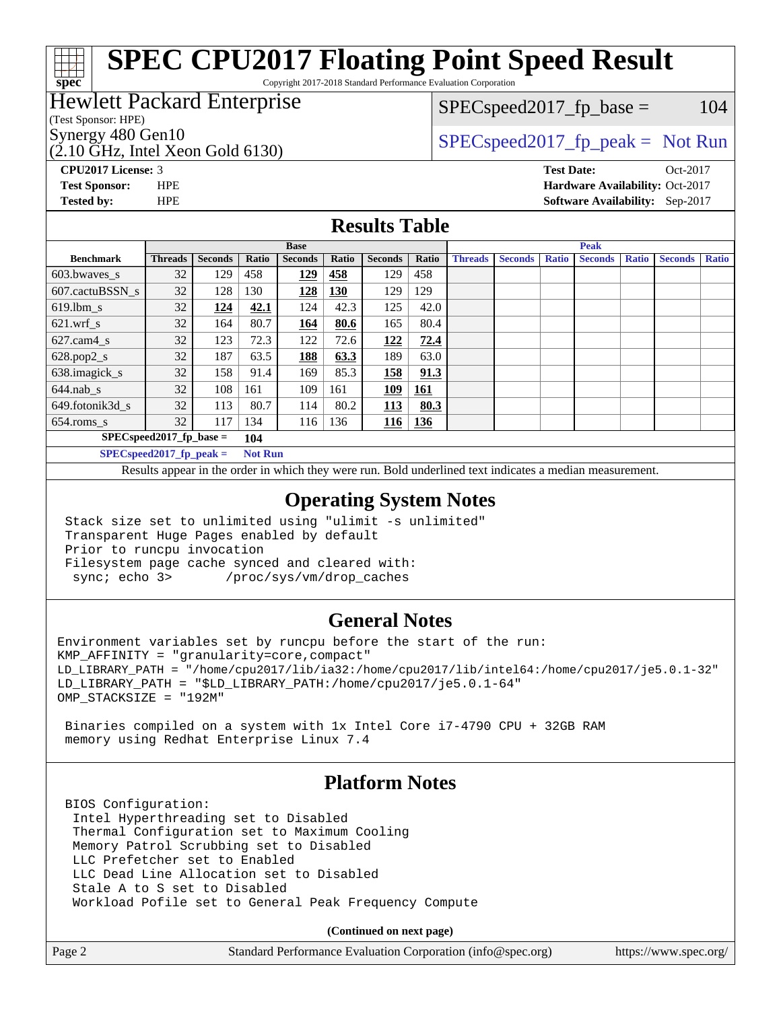# **[SPEC CPU2017 Floating Point Speed Result](http://www.spec.org/auto/cpu2017/Docs/result-fields.html#SPECCPU2017FloatingPointSpeedResult)**

Copyright 2017-2018 Standard Performance Evaluation Corporation

## Hewlett Packard Enterprise

(Test Sponsor: HPE)

 $(2.10 \text{ GHz}, \text{Intel Xeon}$  Gold 6130)

 $SPEC speed2017_fp\_base = 104$ 

Synergy 480 Gen10  $S^{per}$  [SPECspeed2017\\_fp\\_peak =](http://www.spec.org/auto/cpu2017/Docs/result-fields.html#SPECspeed2017fppeak) Not Run

**[CPU2017 License:](http://www.spec.org/auto/cpu2017/Docs/result-fields.html#CPU2017License)** 3 **[Test Date:](http://www.spec.org/auto/cpu2017/Docs/result-fields.html#TestDate)** Oct-2017 **[Test Sponsor:](http://www.spec.org/auto/cpu2017/Docs/result-fields.html#TestSponsor)** HPE **[Hardware Availability:](http://www.spec.org/auto/cpu2017/Docs/result-fields.html#HardwareAvailability)** Oct-2017 **[Tested by:](http://www.spec.org/auto/cpu2017/Docs/result-fields.html#Testedby)** HPE **[Software Availability:](http://www.spec.org/auto/cpu2017/Docs/result-fields.html#SoftwareAvailability)** Sep-2017

### **[Results Table](http://www.spec.org/auto/cpu2017/Docs/result-fields.html#ResultsTable)**

|                                   | <b>Base</b>        |                |                                       |                |            | <b>Peak</b>    |            |                |                |              |                |              |                |              |
|-----------------------------------|--------------------|----------------|---------------------------------------|----------------|------------|----------------|------------|----------------|----------------|--------------|----------------|--------------|----------------|--------------|
| <b>Benchmark</b>                  | <b>Threads</b>     | <b>Seconds</b> | Ratio                                 | <b>Seconds</b> | Ratio      | <b>Seconds</b> | Ratio      | <b>Threads</b> | <b>Seconds</b> | <b>Ratio</b> | <b>Seconds</b> | <b>Ratio</b> | <b>Seconds</b> | <b>Ratio</b> |
| $603.bwaves$ s                    | 32                 | 129            | 458                                   | 129            | 458        | 129            | 458        |                |                |              |                |              |                |              |
| 607.cactuBSSN s                   | 32                 | 128            | 130                                   | 128            | <b>130</b> | 129            | 129        |                |                |              |                |              |                |              |
| $619.$ lbm s                      | 32                 | 124            | 42.1                                  | 124            | 42.3       | 125            | 42.0       |                |                |              |                |              |                |              |
| $621$ .wrf s                      | 32                 | 164            | 80.7                                  | 164            | 80.6       | 165            | 80.4       |                |                |              |                |              |                |              |
| $627$ .cam4 s                     | 32                 | 123            | 72.3                                  | 122            | 72.6       | 122            | 72.4       |                |                |              |                |              |                |              |
| $628.pop2_s$                      | 32                 | 187            | 63.5                                  | 188            | 63.3       | 189            | 63.0       |                |                |              |                |              |                |              |
| $638$ .imagick_s                  | 32                 | 158            | 91.4                                  | 169            | 85.3       | 158            | 91.3       |                |                |              |                |              |                |              |
| $644$ .nab s                      | 32                 | 108            | 161                                   | 109            | 161        | <u> 109</u>    | <u>161</u> |                |                |              |                |              |                |              |
| 649.fotonik3d s                   | 32                 | 113            | 80.7                                  | 114            | 80.2       | 113            | 80.3       |                |                |              |                |              |                |              |
| $654$ .roms s                     | 32                 | 117            | 134                                   | 116            | 136        | 116            | <b>136</b> |                |                |              |                |              |                |              |
| $SPEC speed2017$ fp base =<br>104 |                    |                |                                       |                |            |                |            |                |                |              |                |              |                |              |
| $CDF^{\prime}$                    | $3.0.4 \times 0.0$ |                | $\mathbf{r}$ . The state $\mathbf{r}$ |                |            |                |            |                |                |              |                |              |                |              |

**[SPECspeed2017\\_fp\\_peak =](http://www.spec.org/auto/cpu2017/Docs/result-fields.html#SPECspeed2017fppeak) Not Run**

Results appear in the [order in which they were run.](http://www.spec.org/auto/cpu2017/Docs/result-fields.html#RunOrder) Bold underlined text [indicates a median measurement](http://www.spec.org/auto/cpu2017/Docs/result-fields.html#Median).

### **[Operating System Notes](http://www.spec.org/auto/cpu2017/Docs/result-fields.html#OperatingSystemNotes)**

 Stack size set to unlimited using "ulimit -s unlimited" Transparent Huge Pages enabled by default Prior to runcpu invocation Filesystem page cache synced and cleared with: sync; echo 3> /proc/sys/vm/drop\_caches

## **[General Notes](http://www.spec.org/auto/cpu2017/Docs/result-fields.html#GeneralNotes)**

Environment variables set by runcpu before the start of the run: KMP\_AFFINITY = "granularity=core,compact" LD\_LIBRARY\_PATH = "/home/cpu2017/lib/ia32:/home/cpu2017/lib/intel64:/home/cpu2017/je5.0.1-32" LD\_LIBRARY\_PATH = "\$LD\_LIBRARY\_PATH:/home/cpu2017/je5.0.1-64" OMP\_STACKSIZE = "192M"

 Binaries compiled on a system with 1x Intel Core i7-4790 CPU + 32GB RAM memory using Redhat Enterprise Linux 7.4

## **[Platform Notes](http://www.spec.org/auto/cpu2017/Docs/result-fields.html#PlatformNotes)**

 BIOS Configuration: Intel Hyperthreading set to Disabled Thermal Configuration set to Maximum Cooling Memory Patrol Scrubbing set to Disabled LLC Prefetcher set to Enabled LLC Dead Line Allocation set to Disabled Stale A to S set to Disabled Workload Pofile set to General Peak Frequency Compute

**(Continued on next page)**

**[spec](http://www.spec.org/)**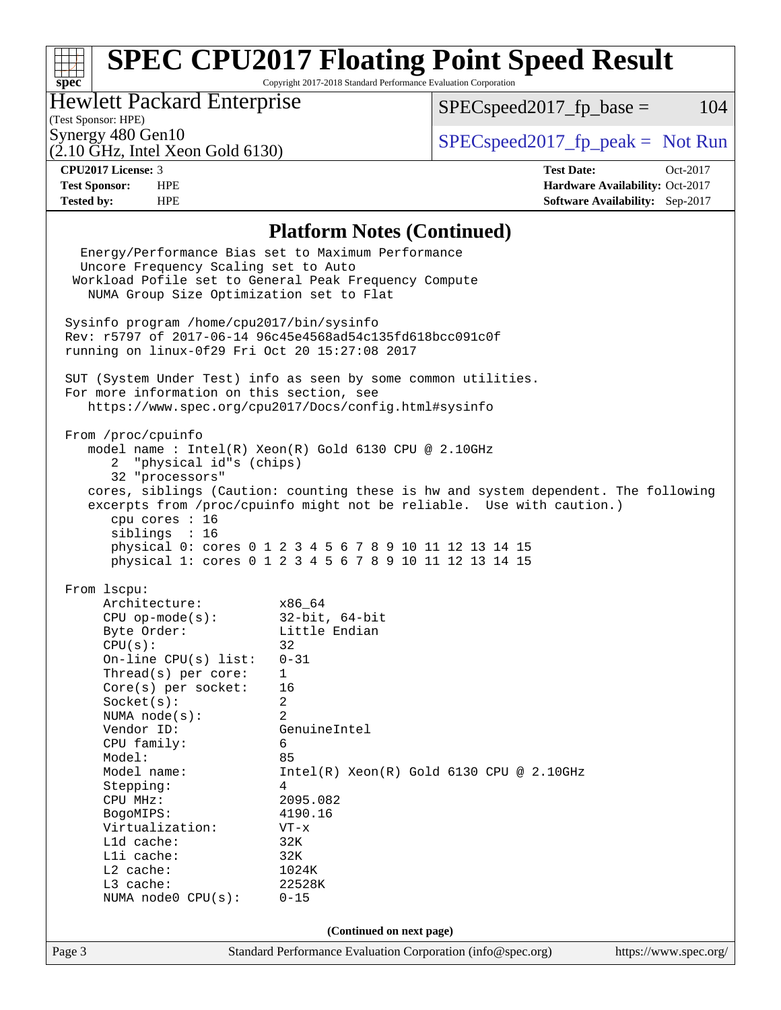# **[SPEC CPU2017 Floating Point Speed Result](http://www.spec.org/auto/cpu2017/Docs/result-fields.html#SPECCPU2017FloatingPointSpeedResult)**

Copyright 2017-2018 Standard Performance Evaluation Corporation

## Hewlett Packard Enterprise

 $SPECspeed2017_fp\_base = 104$ 

(Test Sponsor: HPE)

 $(2.10 \text{ GHz}, \text{Intel Xeon Gold } 6130)$ 

Synergy 480 Gen10<br>  $\begin{array}{r} \text{Specspeed2017\_fp\_peak} = \text{Not Run} \\ \text{C 10 GHz\_Intel Xeon Gold } 6130 \end{array}$ 

**[spec](http://www.spec.org/)**

**[CPU2017 License:](http://www.spec.org/auto/cpu2017/Docs/result-fields.html#CPU2017License)** 3 **[Test Date:](http://www.spec.org/auto/cpu2017/Docs/result-fields.html#TestDate)** Oct-2017 **[Test Sponsor:](http://www.spec.org/auto/cpu2017/Docs/result-fields.html#TestSponsor)** HPE **[Hardware Availability:](http://www.spec.org/auto/cpu2017/Docs/result-fields.html#HardwareAvailability)** Oct-2017 **[Tested by:](http://www.spec.org/auto/cpu2017/Docs/result-fields.html#Testedby)** HPE **[Software Availability:](http://www.spec.org/auto/cpu2017/Docs/result-fields.html#SoftwareAvailability)** Sep-2017

### **[Platform Notes \(Continued\)](http://www.spec.org/auto/cpu2017/Docs/result-fields.html#PlatformNotes)**

|        |                                                                                                   | Energy/Performance Bias set to Maximum Performance                                 |                       |  |  |  |  |
|--------|---------------------------------------------------------------------------------------------------|------------------------------------------------------------------------------------|-----------------------|--|--|--|--|
|        | Uncore Frequency Scaling set to Auto                                                              |                                                                                    |                       |  |  |  |  |
|        | Workload Pofile set to General Peak Frequency Compute<br>NUMA Group Size Optimization set to Flat |                                                                                    |                       |  |  |  |  |
|        |                                                                                                   |                                                                                    |                       |  |  |  |  |
|        | Sysinfo program /home/cpu2017/bin/sysinfo                                                         |                                                                                    |                       |  |  |  |  |
|        |                                                                                                   | Rev: r5797 of 2017-06-14 96c45e4568ad54c135fd618bcc091c0f                          |                       |  |  |  |  |
|        | running on linux-0f29 Fri Oct 20 15:27:08 2017                                                    |                                                                                    |                       |  |  |  |  |
|        |                                                                                                   |                                                                                    |                       |  |  |  |  |
|        | For more information on this section, see                                                         | SUT (System Under Test) info as seen by some common utilities.                     |                       |  |  |  |  |
|        |                                                                                                   | https://www.spec.org/cpu2017/Docs/config.html#sysinfo                              |                       |  |  |  |  |
|        |                                                                                                   |                                                                                    |                       |  |  |  |  |
|        | From /proc/cpuinfo                                                                                |                                                                                    |                       |  |  |  |  |
|        |                                                                                                   | model name : Intel(R) Xeon(R) Gold 6130 CPU @ 2.10GHz                              |                       |  |  |  |  |
|        | 2 "physical id"s (chips)                                                                          |                                                                                    |                       |  |  |  |  |
|        | 32 "processors"                                                                                   |                                                                                    |                       |  |  |  |  |
|        |                                                                                                   | cores, siblings (Caution: counting these is hw and system dependent. The following |                       |  |  |  |  |
|        |                                                                                                   | excerpts from /proc/cpuinfo might not be reliable. Use with caution.)              |                       |  |  |  |  |
|        | cpu cores : 16                                                                                    |                                                                                    |                       |  |  |  |  |
|        | siblings : 16                                                                                     |                                                                                    |                       |  |  |  |  |
|        |                                                                                                   | physical 0: cores 0 1 2 3 4 5 6 7 8 9 10 11 12 13 14 15                            |                       |  |  |  |  |
|        |                                                                                                   | physical 1: cores 0 1 2 3 4 5 6 7 8 9 10 11 12 13 14 15                            |                       |  |  |  |  |
|        | From 1scpu:                                                                                       |                                                                                    |                       |  |  |  |  |
|        | Architecture:<br>$x86\_64$                                                                        |                                                                                    |                       |  |  |  |  |
|        | CPU op-mode(s): $32-bit, 64-bit$                                                                  |                                                                                    |                       |  |  |  |  |
|        | Byte Order:                                                                                       | Little Endian                                                                      |                       |  |  |  |  |
|        | CPU(s):                                                                                           | 32                                                                                 |                       |  |  |  |  |
|        | On-line $CPU(s)$ list:                                                                            | $0 - 31$                                                                           |                       |  |  |  |  |
|        | Thread(s) per core:                                                                               | $\mathbf{1}$                                                                       |                       |  |  |  |  |
|        | $Core(s)$ per socket:                                                                             | 16                                                                                 |                       |  |  |  |  |
|        | Socket(s):                                                                                        | $\overline{a}$                                                                     |                       |  |  |  |  |
|        | NUMA $node(s):$                                                                                   | 2                                                                                  |                       |  |  |  |  |
|        | Vendor ID:                                                                                        | GenuineIntel                                                                       |                       |  |  |  |  |
|        | CPU family:                                                                                       | 6                                                                                  |                       |  |  |  |  |
|        | Model:                                                                                            | 85                                                                                 |                       |  |  |  |  |
|        | Model name:                                                                                       | $Intel(R)$ Xeon $(R)$ Gold 6130 CPU @ 2.10GHz                                      |                       |  |  |  |  |
|        | Stepping:                                                                                         | 4                                                                                  |                       |  |  |  |  |
|        | CPU MHz:                                                                                          | 2095.082                                                                           |                       |  |  |  |  |
|        | BogoMIPS:                                                                                         | 4190.16                                                                            |                       |  |  |  |  |
|        | Virtualization:                                                                                   | VT-x                                                                               |                       |  |  |  |  |
|        | Lld cache:                                                                                        | 32K                                                                                |                       |  |  |  |  |
|        | Lli cache:                                                                                        | 32K                                                                                |                       |  |  |  |  |
|        | L2 cache:                                                                                         | 1024K                                                                              |                       |  |  |  |  |
|        | L3 cache:                                                                                         | 22528K                                                                             |                       |  |  |  |  |
|        | NUMA node0 CPU(s):                                                                                | $0 - 15$                                                                           |                       |  |  |  |  |
|        |                                                                                                   | (Continued on next page)                                                           |                       |  |  |  |  |
|        |                                                                                                   |                                                                                    |                       |  |  |  |  |
| Page 3 |                                                                                                   | Standard Performance Evaluation Corporation (info@spec.org)                        | https://www.spec.org/ |  |  |  |  |
|        |                                                                                                   |                                                                                    |                       |  |  |  |  |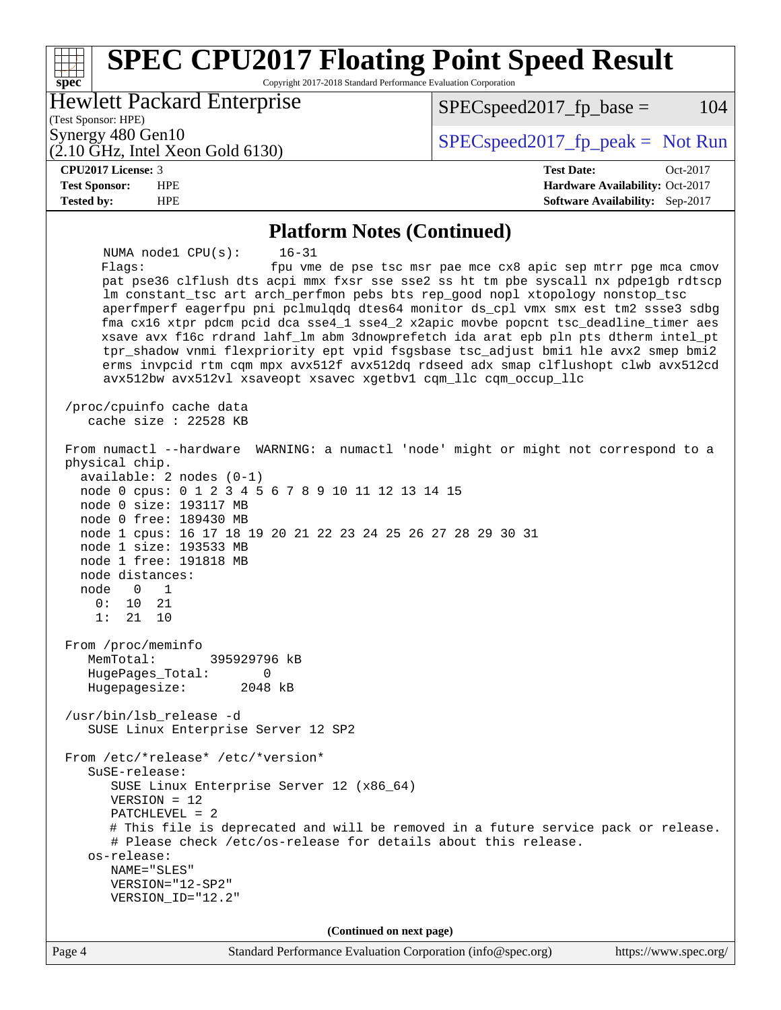### Page 4 Standard Performance Evaluation Corporation [\(info@spec.org\)](mailto:info@spec.org) <https://www.spec.org/> **[spec](http://www.spec.org/) [SPEC CPU2017 Floating Point Speed Result](http://www.spec.org/auto/cpu2017/Docs/result-fields.html#SPECCPU2017FloatingPointSpeedResult)** Copyright 2017-2018 Standard Performance Evaluation Corporation (Test Sponsor: HPE) Hewlett Packard Enterprise (2.10 GHz, Intel Xeon Gold 6130) Synergy 480 Gen10  $S^{per}$  [SPECspeed2017\\_fp\\_peak =](http://www.spec.org/auto/cpu2017/Docs/result-fields.html#SPECspeed2017fppeak) Not Run  $SPEC speed2017<sub>fp</sub> base =  $104$$ **[CPU2017 License:](http://www.spec.org/auto/cpu2017/Docs/result-fields.html#CPU2017License)** 3 **[Test Date:](http://www.spec.org/auto/cpu2017/Docs/result-fields.html#TestDate)** Oct-2017 **[Test Sponsor:](http://www.spec.org/auto/cpu2017/Docs/result-fields.html#TestSponsor)** HPE **[Hardware Availability:](http://www.spec.org/auto/cpu2017/Docs/result-fields.html#HardwareAvailability)** Oct-2017 **[Tested by:](http://www.spec.org/auto/cpu2017/Docs/result-fields.html#Testedby)** HPE **[Software Availability:](http://www.spec.org/auto/cpu2017/Docs/result-fields.html#SoftwareAvailability)** Sep-2017 **[Platform Notes \(Continued\)](http://www.spec.org/auto/cpu2017/Docs/result-fields.html#PlatformNotes)** NUMA node1 CPU(s): 16-31 Flags: fpu vme de pse tsc msr pae mce cx8 apic sep mtrr pge mca cmov pat pse36 clflush dts acpi mmx fxsr sse sse2 ss ht tm pbe syscall nx pdpe1gb rdtscp lm constant\_tsc art arch\_perfmon pebs bts rep\_good nopl xtopology nonstop\_tsc aperfmperf eagerfpu pni pclmulqdq dtes64 monitor ds\_cpl vmx smx est tm2 ssse3 sdbg fma cx16 xtpr pdcm pcid dca sse4\_1 sse4\_2 x2apic movbe popcnt tsc\_deadline\_timer aes xsave avx f16c rdrand lahf\_lm abm 3dnowprefetch ida arat epb pln pts dtherm intel\_pt tpr\_shadow vnmi flexpriority ept vpid fsgsbase tsc\_adjust bmi1 hle avx2 smep bmi2 erms invpcid rtm cqm mpx avx512f avx512dq rdseed adx smap clflushopt clwb avx512cd avx512bw avx512vl xsaveopt xsavec xgetbv1 cqm\_llc cqm\_occup\_llc /proc/cpuinfo cache data cache size : 22528 KB From numactl --hardware WARNING: a numactl 'node' might or might not correspond to a physical chip. available: 2 nodes (0-1) node 0 cpus: 0 1 2 3 4 5 6 7 8 9 10 11 12 13 14 15 node 0 size: 193117 MB node 0 free: 189430 MB node 1 cpus: 16 17 18 19 20 21 22 23 24 25 26 27 28 29 30 31 node 1 size: 193533 MB node 1 free: 191818 MB node distances: node 0 1 0: 10 21 1: 21 10 From /proc/meminfo MemTotal: 395929796 kB HugePages\_Total: 0 Hugepagesize: 2048 kB /usr/bin/lsb\_release -d SUSE Linux Enterprise Server 12 SP2 From /etc/\*release\* /etc/\*version\* SuSE-release: SUSE Linux Enterprise Server 12 (x86\_64) VERSION = 12 PATCHLEVEL = 2 # This file is deprecated and will be removed in a future service pack or release. # Please check /etc/os-release for details about this release. os-release: NAME="SLES" VERSION="12-SP2" VERSION\_ID="12.2" **(Continued on next page)**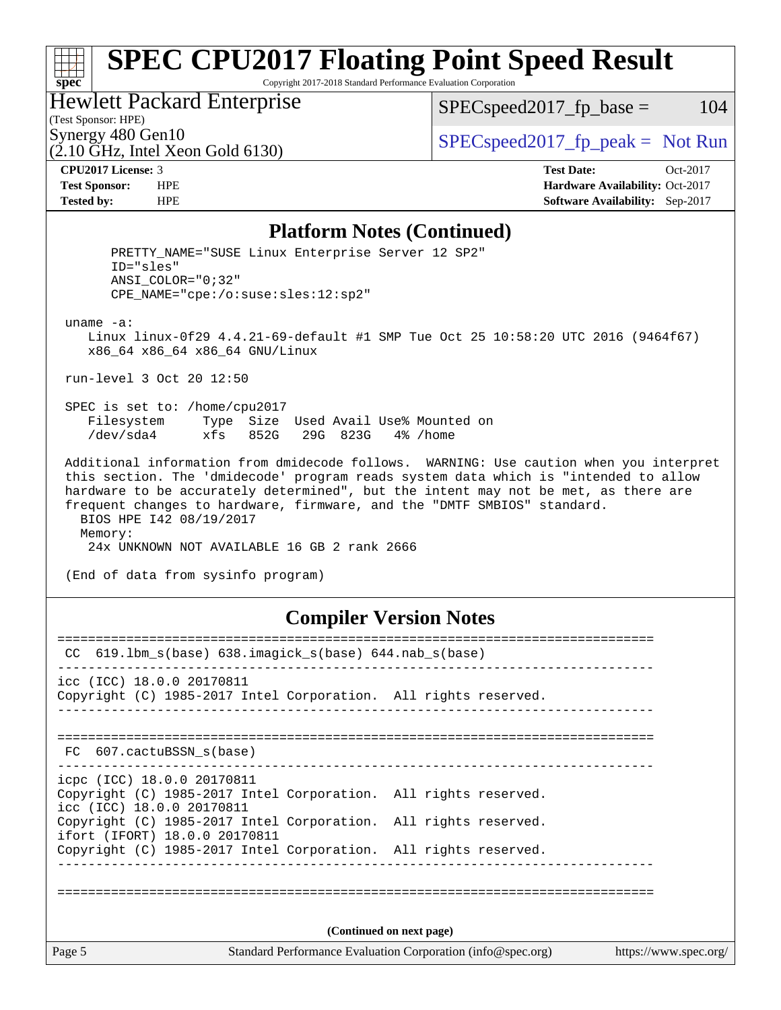# **[SPEC CPU2017 Floating Point Speed Result](http://www.spec.org/auto/cpu2017/Docs/result-fields.html#SPECCPU2017FloatingPointSpeedResult)**

Copyright 2017-2018 Standard Performance Evaluation Corporation

### Hewlett Packard Enterprise

 $SPEC speed2017_fp\_base = 104$ 

## (Test Sponsor: HPE)

 $(2.10 \text{ GHz}, \text{Intel Xeon}$  Gold 6130)

Synergy 480 Gen10  $SPEC speed2017$  fp\_peak = Not Run

**[spec](http://www.spec.org/)**

**[CPU2017 License:](http://www.spec.org/auto/cpu2017/Docs/result-fields.html#CPU2017License)** 3 **[Test Date:](http://www.spec.org/auto/cpu2017/Docs/result-fields.html#TestDate)** Oct-2017 **[Test Sponsor:](http://www.spec.org/auto/cpu2017/Docs/result-fields.html#TestSponsor)** HPE **[Hardware Availability:](http://www.spec.org/auto/cpu2017/Docs/result-fields.html#HardwareAvailability)** Oct-2017 **[Tested by:](http://www.spec.org/auto/cpu2017/Docs/result-fields.html#Testedby)** HPE **[Software Availability:](http://www.spec.org/auto/cpu2017/Docs/result-fields.html#SoftwareAvailability)** Sep-2017

### **[Platform Notes \(Continued\)](http://www.spec.org/auto/cpu2017/Docs/result-fields.html#PlatformNotes)**

PRETTY NAME="SUSE Linux Enterprise Server 12 SP2" ID="sles" ANSI\_COLOR="0;32" CPE\_NAME="cpe:/o:suse:sles:12:sp2" uname -a: Linux linux-0f29 4.4.21-69-default #1 SMP Tue Oct 25 10:58:20 UTC 2016 (9464f67) x86\_64 x86\_64 x86\_64 GNU/Linux run-level 3 Oct 20 12:50 SPEC is set to: /home/cpu2017 Filesystem Type Size Used Avail Use% Mounted on /dev/sda4 xfs 852G 29G 823G 4% /home Additional information from dmidecode follows. WARNING: Use caution when you interpret this section. The 'dmidecode' program reads system data which is "intended to allow hardware to be accurately determined", but the intent may not be met, as there are frequent changes to hardware, firmware, and the "DMTF SMBIOS" standard. BIOS HPE I42 08/19/2017 Memory: 24x UNKNOWN NOT AVAILABLE 16 GB 2 rank 2666 (End of data from sysinfo program) **[Compiler Version Notes](http://www.spec.org/auto/cpu2017/Docs/result-fields.html#CompilerVersionNotes)** ============================================================================== CC 619.lbm\_s(base) 638.imagick\_s(base) 644.nab\_s(base) ------------------------------------------------------------------------------

icc (ICC) 18.0.0 20170811 Copyright (C) 1985-2017 Intel Corporation. All rights reserved. ------------------------------------------------------------------------------

============================================================================== FC 607.cactuBSSN\_s(base)

------------------------------------------------------------------------------

icpc (ICC) 18.0.0 20170811 Copyright (C) 1985-2017 Intel Corporation. All rights reserved. icc (ICC) 18.0.0 20170811 Copyright (C) 1985-2017 Intel Corporation. All rights reserved. ifort (IFORT) 18.0.0 20170811

Copyright (C) 1985-2017 Intel Corporation. All rights reserved.

------------------------------------------------------------------------------

==============================================================================

**(Continued on next page)**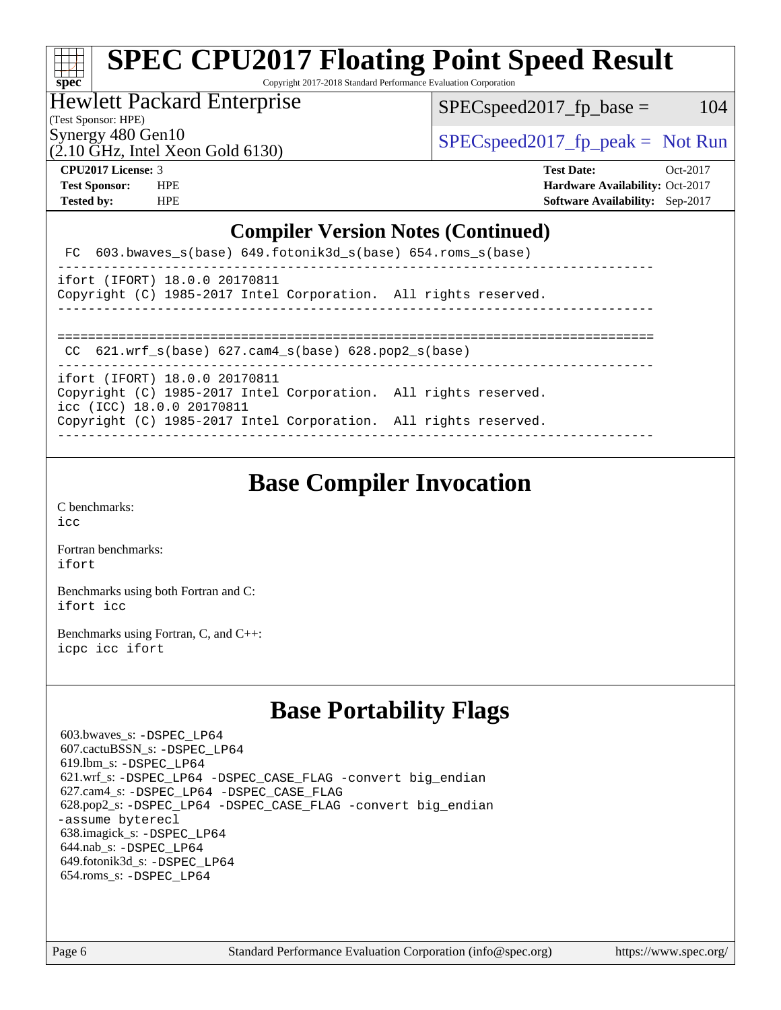## **[spec](http://www.spec.org/) [SPEC CPU2017 Floating Point Speed Result](http://www.spec.org/auto/cpu2017/Docs/result-fields.html#SPECCPU2017FloatingPointSpeedResult)** Copyright 2017-2018 Standard Performance Evaluation Corporation

Hewlett Packard Enterprise

 $SPEC speed2017_fp\_base = 104$ 

(Test Sponsor: HPE)

Synergy 480 Gen10<br>  $SPEC speed2017<sub>rfp</sub> peak = Not Run$ 

(2.10 GHz, Intel Xeon Gold 6130)

**[CPU2017 License:](http://www.spec.org/auto/cpu2017/Docs/result-fields.html#CPU2017License)** 3 **[Test Date:](http://www.spec.org/auto/cpu2017/Docs/result-fields.html#TestDate)** Oct-2017 **[Test Sponsor:](http://www.spec.org/auto/cpu2017/Docs/result-fields.html#TestSponsor)** HPE **[Hardware Availability:](http://www.spec.org/auto/cpu2017/Docs/result-fields.html#HardwareAvailability)** Oct-2017 **[Tested by:](http://www.spec.org/auto/cpu2017/Docs/result-fields.html#Testedby)** HPE **[Software Availability:](http://www.spec.org/auto/cpu2017/Docs/result-fields.html#SoftwareAvailability)** Sep-2017

## **[Compiler Version Notes \(Continued\)](http://www.spec.org/auto/cpu2017/Docs/result-fields.html#CompilerVersionNotes)**

| FC 603.bwaves s(base) 649.fotonik3d s(base) 654.roms s(base)                                                                                                                                                                        |
|-------------------------------------------------------------------------------------------------------------------------------------------------------------------------------------------------------------------------------------|
| ifort (IFORT) 18.0.0 20170811<br>Copyright (C) 1985-2017 Intel Corporation. All rights reserved.<br>-----------------------------------                                                                                             |
| CC $621.$ wrf $s(base)$ $627.$ cam4 $s(base)$ $628.$ pop2 $s(base)$                                                                                                                                                                 |
| ifort (IFORT) 18.0.0 20170811<br>Copyright (C) 1985-2017 Intel Corporation. All rights reserved.<br>icc (ICC) 18.0.0 20170811<br>Copyright (C) 1985-2017 Intel Corporation. All rights reserved.<br>_______________________________ |

## **[Base Compiler Invocation](http://www.spec.org/auto/cpu2017/Docs/result-fields.html#BaseCompilerInvocation)**

[C benchmarks](http://www.spec.org/auto/cpu2017/Docs/result-fields.html#Cbenchmarks): [icc](http://www.spec.org/cpu2017/results/res2017q4/cpu2017-20171031-00318.flags.html#user_CCbase_intel_icc_18.0_66fc1ee009f7361af1fbd72ca7dcefbb700085f36577c54f309893dd4ec40d12360134090235512931783d35fd58c0460139e722d5067c5574d8eaf2b3e37e92)

[Fortran benchmarks](http://www.spec.org/auto/cpu2017/Docs/result-fields.html#Fortranbenchmarks): [ifort](http://www.spec.org/cpu2017/results/res2017q4/cpu2017-20171031-00318.flags.html#user_FCbase_intel_ifort_18.0_8111460550e3ca792625aed983ce982f94888b8b503583aa7ba2b8303487b4d8a21a13e7191a45c5fd58ff318f48f9492884d4413fa793fd88dd292cad7027ca)

[Benchmarks using both Fortran and C](http://www.spec.org/auto/cpu2017/Docs/result-fields.html#BenchmarksusingbothFortranandC): [ifort](http://www.spec.org/cpu2017/results/res2017q4/cpu2017-20171031-00318.flags.html#user_CC_FCbase_intel_ifort_18.0_8111460550e3ca792625aed983ce982f94888b8b503583aa7ba2b8303487b4d8a21a13e7191a45c5fd58ff318f48f9492884d4413fa793fd88dd292cad7027ca) [icc](http://www.spec.org/cpu2017/results/res2017q4/cpu2017-20171031-00318.flags.html#user_CC_FCbase_intel_icc_18.0_66fc1ee009f7361af1fbd72ca7dcefbb700085f36577c54f309893dd4ec40d12360134090235512931783d35fd58c0460139e722d5067c5574d8eaf2b3e37e92)

[Benchmarks using Fortran, C, and C++:](http://www.spec.org/auto/cpu2017/Docs/result-fields.html#BenchmarksusingFortranCandCXX) [icpc](http://www.spec.org/cpu2017/results/res2017q4/cpu2017-20171031-00318.flags.html#user_CC_CXX_FCbase_intel_icpc_18.0_c510b6838c7f56d33e37e94d029a35b4a7bccf4766a728ee175e80a419847e808290a9b78be685c44ab727ea267ec2f070ec5dc83b407c0218cded6866a35d07) [icc](http://www.spec.org/cpu2017/results/res2017q4/cpu2017-20171031-00318.flags.html#user_CC_CXX_FCbase_intel_icc_18.0_66fc1ee009f7361af1fbd72ca7dcefbb700085f36577c54f309893dd4ec40d12360134090235512931783d35fd58c0460139e722d5067c5574d8eaf2b3e37e92) [ifort](http://www.spec.org/cpu2017/results/res2017q4/cpu2017-20171031-00318.flags.html#user_CC_CXX_FCbase_intel_ifort_18.0_8111460550e3ca792625aed983ce982f94888b8b503583aa7ba2b8303487b4d8a21a13e7191a45c5fd58ff318f48f9492884d4413fa793fd88dd292cad7027ca)

## **[Base Portability Flags](http://www.spec.org/auto/cpu2017/Docs/result-fields.html#BasePortabilityFlags)**

 603.bwaves\_s: [-DSPEC\\_LP64](http://www.spec.org/cpu2017/results/res2017q4/cpu2017-20171031-00318.flags.html#suite_basePORTABILITY603_bwaves_s_DSPEC_LP64) 607.cactuBSSN\_s: [-DSPEC\\_LP64](http://www.spec.org/cpu2017/results/res2017q4/cpu2017-20171031-00318.flags.html#suite_basePORTABILITY607_cactuBSSN_s_DSPEC_LP64) 619.lbm\_s: [-DSPEC\\_LP64](http://www.spec.org/cpu2017/results/res2017q4/cpu2017-20171031-00318.flags.html#suite_basePORTABILITY619_lbm_s_DSPEC_LP64) 621.wrf\_s: [-DSPEC\\_LP64](http://www.spec.org/cpu2017/results/res2017q4/cpu2017-20171031-00318.flags.html#suite_basePORTABILITY621_wrf_s_DSPEC_LP64) [-DSPEC\\_CASE\\_FLAG](http://www.spec.org/cpu2017/results/res2017q4/cpu2017-20171031-00318.flags.html#b621.wrf_s_baseCPORTABILITY_DSPEC_CASE_FLAG) [-convert big\\_endian](http://www.spec.org/cpu2017/results/res2017q4/cpu2017-20171031-00318.flags.html#user_baseFPORTABILITY621_wrf_s_convert_big_endian_c3194028bc08c63ac5d04de18c48ce6d347e4e562e8892b8bdbdc0214820426deb8554edfa529a3fb25a586e65a3d812c835984020483e7e73212c4d31a38223) 627.cam4\_s: [-DSPEC\\_LP64](http://www.spec.org/cpu2017/results/res2017q4/cpu2017-20171031-00318.flags.html#suite_basePORTABILITY627_cam4_s_DSPEC_LP64) [-DSPEC\\_CASE\\_FLAG](http://www.spec.org/cpu2017/results/res2017q4/cpu2017-20171031-00318.flags.html#b627.cam4_s_baseCPORTABILITY_DSPEC_CASE_FLAG) 628.pop2\_s: [-DSPEC\\_LP64](http://www.spec.org/cpu2017/results/res2017q4/cpu2017-20171031-00318.flags.html#suite_basePORTABILITY628_pop2_s_DSPEC_LP64) [-DSPEC\\_CASE\\_FLAG](http://www.spec.org/cpu2017/results/res2017q4/cpu2017-20171031-00318.flags.html#b628.pop2_s_baseCPORTABILITY_DSPEC_CASE_FLAG) [-convert big\\_endian](http://www.spec.org/cpu2017/results/res2017q4/cpu2017-20171031-00318.flags.html#user_baseFPORTABILITY628_pop2_s_convert_big_endian_c3194028bc08c63ac5d04de18c48ce6d347e4e562e8892b8bdbdc0214820426deb8554edfa529a3fb25a586e65a3d812c835984020483e7e73212c4d31a38223) [-assume byterecl](http://www.spec.org/cpu2017/results/res2017q4/cpu2017-20171031-00318.flags.html#user_baseFPORTABILITY628_pop2_s_assume_byterecl_7e47d18b9513cf18525430bbf0f2177aa9bf368bc7a059c09b2c06a34b53bd3447c950d3f8d6c70e3faf3a05c8557d66a5798b567902e8849adc142926523472) 638.imagick\_s: [-DSPEC\\_LP64](http://www.spec.org/cpu2017/results/res2017q4/cpu2017-20171031-00318.flags.html#suite_basePORTABILITY638_imagick_s_DSPEC_LP64) 644.nab\_s: [-DSPEC\\_LP64](http://www.spec.org/cpu2017/results/res2017q4/cpu2017-20171031-00318.flags.html#suite_basePORTABILITY644_nab_s_DSPEC_LP64) 649.fotonik3d\_s: [-DSPEC\\_LP64](http://www.spec.org/cpu2017/results/res2017q4/cpu2017-20171031-00318.flags.html#suite_basePORTABILITY649_fotonik3d_s_DSPEC_LP64) 654.roms\_s: [-DSPEC\\_LP64](http://www.spec.org/cpu2017/results/res2017q4/cpu2017-20171031-00318.flags.html#suite_basePORTABILITY654_roms_s_DSPEC_LP64)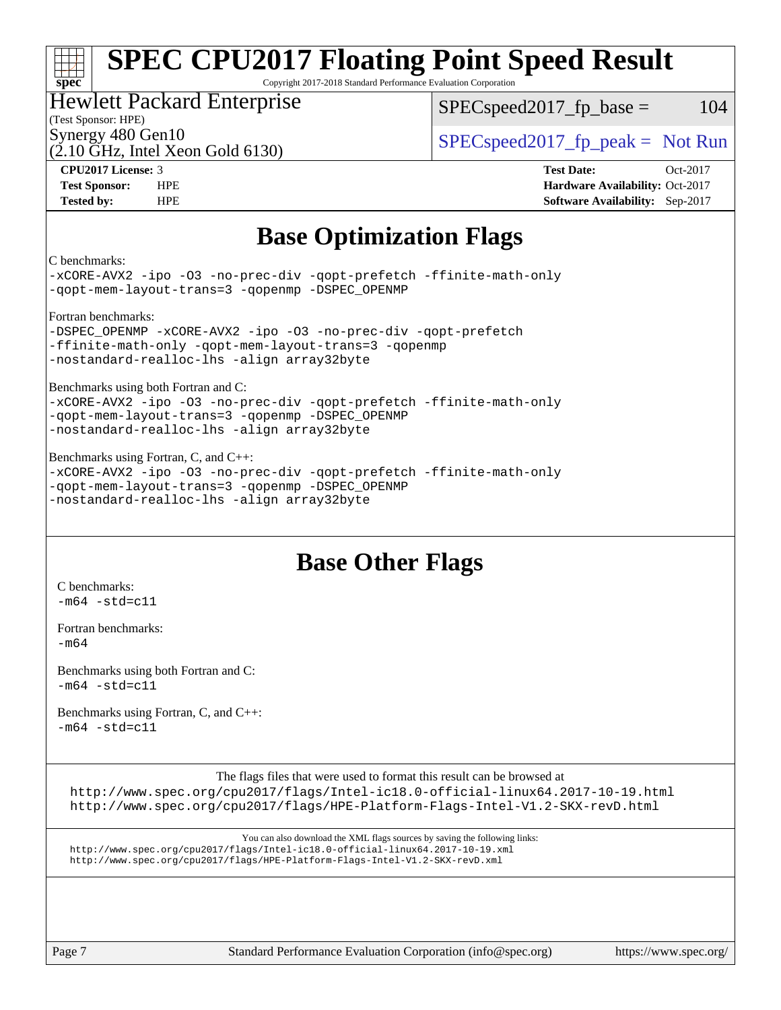### **[spec](http://www.spec.org/) [SPEC CPU2017 Floating Point Speed Result](http://www.spec.org/auto/cpu2017/Docs/result-fields.html#SPECCPU2017FloatingPointSpeedResult)** Copyright 2017-2018 Standard Performance Evaluation Corporation

## Hewlett Packard Enterprise

 $SPEC speed2017<sub>fp</sub> base =  $104$$ 

## (Test Sponsor: HPE)

(2.10 GHz, Intel Xeon Gold 6130)

Synergy 480 Gen10  $SPEC speed2017$  fp\_peak = Not Run

**[CPU2017 License:](http://www.spec.org/auto/cpu2017/Docs/result-fields.html#CPU2017License)** 3 **[Test Date:](http://www.spec.org/auto/cpu2017/Docs/result-fields.html#TestDate)** Oct-2017 **[Test Sponsor:](http://www.spec.org/auto/cpu2017/Docs/result-fields.html#TestSponsor)** HPE **[Hardware Availability:](http://www.spec.org/auto/cpu2017/Docs/result-fields.html#HardwareAvailability)** Oct-2017 **[Tested by:](http://www.spec.org/auto/cpu2017/Docs/result-fields.html#Testedby)** HPE **[Software Availability:](http://www.spec.org/auto/cpu2017/Docs/result-fields.html#SoftwareAvailability)** Sep-2017

## **[Base Optimization Flags](http://www.spec.org/auto/cpu2017/Docs/result-fields.html#BaseOptimizationFlags)**

[C benchmarks:](http://www.spec.org/auto/cpu2017/Docs/result-fields.html#Cbenchmarks)

[-xCORE-AVX2](http://www.spec.org/cpu2017/results/res2017q4/cpu2017-20171031-00318.flags.html#user_CCbase_f-xCORE-AVX2) [-ipo](http://www.spec.org/cpu2017/results/res2017q4/cpu2017-20171031-00318.flags.html#user_CCbase_f-ipo) [-O3](http://www.spec.org/cpu2017/results/res2017q4/cpu2017-20171031-00318.flags.html#user_CCbase_f-O3) [-no-prec-div](http://www.spec.org/cpu2017/results/res2017q4/cpu2017-20171031-00318.flags.html#user_CCbase_f-no-prec-div) [-qopt-prefetch](http://www.spec.org/cpu2017/results/res2017q4/cpu2017-20171031-00318.flags.html#user_CCbase_f-qopt-prefetch) [-ffinite-math-only](http://www.spec.org/cpu2017/results/res2017q4/cpu2017-20171031-00318.flags.html#user_CCbase_f_finite_math_only_cb91587bd2077682c4b38af759c288ed7c732db004271a9512da14a4f8007909a5f1427ecbf1a0fb78ff2a814402c6114ac565ca162485bbcae155b5e4258871) [-qopt-mem-layout-trans=3](http://www.spec.org/cpu2017/results/res2017q4/cpu2017-20171031-00318.flags.html#user_CCbase_f-qopt-mem-layout-trans_de80db37974c74b1f0e20d883f0b675c88c3b01e9d123adea9b28688d64333345fb62bc4a798493513fdb68f60282f9a726aa07f478b2f7113531aecce732043) [-qopenmp](http://www.spec.org/cpu2017/results/res2017q4/cpu2017-20171031-00318.flags.html#user_CCbase_qopenmp_16be0c44f24f464004c6784a7acb94aca937f053568ce72f94b139a11c7c168634a55f6653758ddd83bcf7b8463e8028bb0b48b77bcddc6b78d5d95bb1df2967) [-DSPEC\\_OPENMP](http://www.spec.org/cpu2017/results/res2017q4/cpu2017-20171031-00318.flags.html#suite_CCbase_DSPEC_OPENMP)

[Fortran benchmarks:](http://www.spec.org/auto/cpu2017/Docs/result-fields.html#Fortranbenchmarks)

[-DSPEC\\_OPENMP](http://www.spec.org/cpu2017/results/res2017q4/cpu2017-20171031-00318.flags.html#suite_FCbase_DSPEC_OPENMP) [-xCORE-AVX2](http://www.spec.org/cpu2017/results/res2017q4/cpu2017-20171031-00318.flags.html#user_FCbase_f-xCORE-AVX2) [-ipo](http://www.spec.org/cpu2017/results/res2017q4/cpu2017-20171031-00318.flags.html#user_FCbase_f-ipo) [-O3](http://www.spec.org/cpu2017/results/res2017q4/cpu2017-20171031-00318.flags.html#user_FCbase_f-O3) [-no-prec-div](http://www.spec.org/cpu2017/results/res2017q4/cpu2017-20171031-00318.flags.html#user_FCbase_f-no-prec-div) [-qopt-prefetch](http://www.spec.org/cpu2017/results/res2017q4/cpu2017-20171031-00318.flags.html#user_FCbase_f-qopt-prefetch) [-ffinite-math-only](http://www.spec.org/cpu2017/results/res2017q4/cpu2017-20171031-00318.flags.html#user_FCbase_f_finite_math_only_cb91587bd2077682c4b38af759c288ed7c732db004271a9512da14a4f8007909a5f1427ecbf1a0fb78ff2a814402c6114ac565ca162485bbcae155b5e4258871) [-qopt-mem-layout-trans=3](http://www.spec.org/cpu2017/results/res2017q4/cpu2017-20171031-00318.flags.html#user_FCbase_f-qopt-mem-layout-trans_de80db37974c74b1f0e20d883f0b675c88c3b01e9d123adea9b28688d64333345fb62bc4a798493513fdb68f60282f9a726aa07f478b2f7113531aecce732043) [-qopenmp](http://www.spec.org/cpu2017/results/res2017q4/cpu2017-20171031-00318.flags.html#user_FCbase_qopenmp_16be0c44f24f464004c6784a7acb94aca937f053568ce72f94b139a11c7c168634a55f6653758ddd83bcf7b8463e8028bb0b48b77bcddc6b78d5d95bb1df2967) [-nostandard-realloc-lhs](http://www.spec.org/cpu2017/results/res2017q4/cpu2017-20171031-00318.flags.html#user_FCbase_f_2003_std_realloc_82b4557e90729c0f113870c07e44d33d6f5a304b4f63d4c15d2d0f1fab99f5daaed73bdb9275d9ae411527f28b936061aa8b9c8f2d63842963b95c9dd6426b8a) [-align array32byte](http://www.spec.org/cpu2017/results/res2017q4/cpu2017-20171031-00318.flags.html#user_FCbase_align_array32byte_b982fe038af199962ba9a80c053b8342c548c85b40b8e86eb3cc33dee0d7986a4af373ac2d51c3f7cf710a18d62fdce2948f201cd044323541f22fc0fffc51b6)

[Benchmarks using both Fortran and C:](http://www.spec.org/auto/cpu2017/Docs/result-fields.html#BenchmarksusingbothFortranandC)

[-xCORE-AVX2](http://www.spec.org/cpu2017/results/res2017q4/cpu2017-20171031-00318.flags.html#user_CC_FCbase_f-xCORE-AVX2) [-ipo](http://www.spec.org/cpu2017/results/res2017q4/cpu2017-20171031-00318.flags.html#user_CC_FCbase_f-ipo) [-O3](http://www.spec.org/cpu2017/results/res2017q4/cpu2017-20171031-00318.flags.html#user_CC_FCbase_f-O3) [-no-prec-div](http://www.spec.org/cpu2017/results/res2017q4/cpu2017-20171031-00318.flags.html#user_CC_FCbase_f-no-prec-div) [-qopt-prefetch](http://www.spec.org/cpu2017/results/res2017q4/cpu2017-20171031-00318.flags.html#user_CC_FCbase_f-qopt-prefetch) [-ffinite-math-only](http://www.spec.org/cpu2017/results/res2017q4/cpu2017-20171031-00318.flags.html#user_CC_FCbase_f_finite_math_only_cb91587bd2077682c4b38af759c288ed7c732db004271a9512da14a4f8007909a5f1427ecbf1a0fb78ff2a814402c6114ac565ca162485bbcae155b5e4258871) [-qopt-mem-layout-trans=3](http://www.spec.org/cpu2017/results/res2017q4/cpu2017-20171031-00318.flags.html#user_CC_FCbase_f-qopt-mem-layout-trans_de80db37974c74b1f0e20d883f0b675c88c3b01e9d123adea9b28688d64333345fb62bc4a798493513fdb68f60282f9a726aa07f478b2f7113531aecce732043) [-qopenmp](http://www.spec.org/cpu2017/results/res2017q4/cpu2017-20171031-00318.flags.html#user_CC_FCbase_qopenmp_16be0c44f24f464004c6784a7acb94aca937f053568ce72f94b139a11c7c168634a55f6653758ddd83bcf7b8463e8028bb0b48b77bcddc6b78d5d95bb1df2967) [-DSPEC\\_OPENMP](http://www.spec.org/cpu2017/results/res2017q4/cpu2017-20171031-00318.flags.html#suite_CC_FCbase_DSPEC_OPENMP) [-nostandard-realloc-lhs](http://www.spec.org/cpu2017/results/res2017q4/cpu2017-20171031-00318.flags.html#user_CC_FCbase_f_2003_std_realloc_82b4557e90729c0f113870c07e44d33d6f5a304b4f63d4c15d2d0f1fab99f5daaed73bdb9275d9ae411527f28b936061aa8b9c8f2d63842963b95c9dd6426b8a) [-align array32byte](http://www.spec.org/cpu2017/results/res2017q4/cpu2017-20171031-00318.flags.html#user_CC_FCbase_align_array32byte_b982fe038af199962ba9a80c053b8342c548c85b40b8e86eb3cc33dee0d7986a4af373ac2d51c3f7cf710a18d62fdce2948f201cd044323541f22fc0fffc51b6)

[Benchmarks using Fortran, C, and C++:](http://www.spec.org/auto/cpu2017/Docs/result-fields.html#BenchmarksusingFortranCandCXX) [-xCORE-AVX2](http://www.spec.org/cpu2017/results/res2017q4/cpu2017-20171031-00318.flags.html#user_CC_CXX_FCbase_f-xCORE-AVX2) [-ipo](http://www.spec.org/cpu2017/results/res2017q4/cpu2017-20171031-00318.flags.html#user_CC_CXX_FCbase_f-ipo) [-O3](http://www.spec.org/cpu2017/results/res2017q4/cpu2017-20171031-00318.flags.html#user_CC_CXX_FCbase_f-O3) [-no-prec-div](http://www.spec.org/cpu2017/results/res2017q4/cpu2017-20171031-00318.flags.html#user_CC_CXX_FCbase_f-no-prec-div) [-qopt-prefetch](http://www.spec.org/cpu2017/results/res2017q4/cpu2017-20171031-00318.flags.html#user_CC_CXX_FCbase_f-qopt-prefetch) [-ffinite-math-only](http://www.spec.org/cpu2017/results/res2017q4/cpu2017-20171031-00318.flags.html#user_CC_CXX_FCbase_f_finite_math_only_cb91587bd2077682c4b38af759c288ed7c732db004271a9512da14a4f8007909a5f1427ecbf1a0fb78ff2a814402c6114ac565ca162485bbcae155b5e4258871) [-qopt-mem-layout-trans=3](http://www.spec.org/cpu2017/results/res2017q4/cpu2017-20171031-00318.flags.html#user_CC_CXX_FCbase_f-qopt-mem-layout-trans_de80db37974c74b1f0e20d883f0b675c88c3b01e9d123adea9b28688d64333345fb62bc4a798493513fdb68f60282f9a726aa07f478b2f7113531aecce732043) [-qopenmp](http://www.spec.org/cpu2017/results/res2017q4/cpu2017-20171031-00318.flags.html#user_CC_CXX_FCbase_qopenmp_16be0c44f24f464004c6784a7acb94aca937f053568ce72f94b139a11c7c168634a55f6653758ddd83bcf7b8463e8028bb0b48b77bcddc6b78d5d95bb1df2967) [-DSPEC\\_OPENMP](http://www.spec.org/cpu2017/results/res2017q4/cpu2017-20171031-00318.flags.html#suite_CC_CXX_FCbase_DSPEC_OPENMP) [-nostandard-realloc-lhs](http://www.spec.org/cpu2017/results/res2017q4/cpu2017-20171031-00318.flags.html#user_CC_CXX_FCbase_f_2003_std_realloc_82b4557e90729c0f113870c07e44d33d6f5a304b4f63d4c15d2d0f1fab99f5daaed73bdb9275d9ae411527f28b936061aa8b9c8f2d63842963b95c9dd6426b8a) [-align array32byte](http://www.spec.org/cpu2017/results/res2017q4/cpu2017-20171031-00318.flags.html#user_CC_CXX_FCbase_align_array32byte_b982fe038af199962ba9a80c053b8342c548c85b40b8e86eb3cc33dee0d7986a4af373ac2d51c3f7cf710a18d62fdce2948f201cd044323541f22fc0fffc51b6)

## **[Base Other Flags](http://www.spec.org/auto/cpu2017/Docs/result-fields.html#BaseOtherFlags)**

[C benchmarks](http://www.spec.org/auto/cpu2017/Docs/result-fields.html#Cbenchmarks):  $-m64 - std= c11$  $-m64 - std= c11$ 

[Fortran benchmarks](http://www.spec.org/auto/cpu2017/Docs/result-fields.html#Fortranbenchmarks): [-m64](http://www.spec.org/cpu2017/results/res2017q4/cpu2017-20171031-00318.flags.html#user_FCbase_intel_intel64_18.0_af43caccfc8ded86e7699f2159af6efc7655f51387b94da716254467f3c01020a5059329e2569e4053f409e7c9202a7efc638f7a6d1ffb3f52dea4a3e31d82ab)

[Benchmarks using both Fortran and C](http://www.spec.org/auto/cpu2017/Docs/result-fields.html#BenchmarksusingbothFortranandC):  $-m64$   $-std=cl1$ 

[Benchmarks using Fortran, C, and C++:](http://www.spec.org/auto/cpu2017/Docs/result-fields.html#BenchmarksusingFortranCandCXX)  $-m64 - std= c11$  $-m64 - std= c11$ 

The flags files that were used to format this result can be browsed at

<http://www.spec.org/cpu2017/flags/Intel-ic18.0-official-linux64.2017-10-19.html> <http://www.spec.org/cpu2017/flags/HPE-Platform-Flags-Intel-V1.2-SKX-revD.html>

```
You can also download the XML flags sources by saving the following links:
http://www.spec.org/cpu2017/flags/Intel-ic18.0-official-linux64.2017-10-19.xml
http://www.spec.org/cpu2017/flags/HPE-Platform-Flags-Intel-V1.2-SKX-revD.xml
```